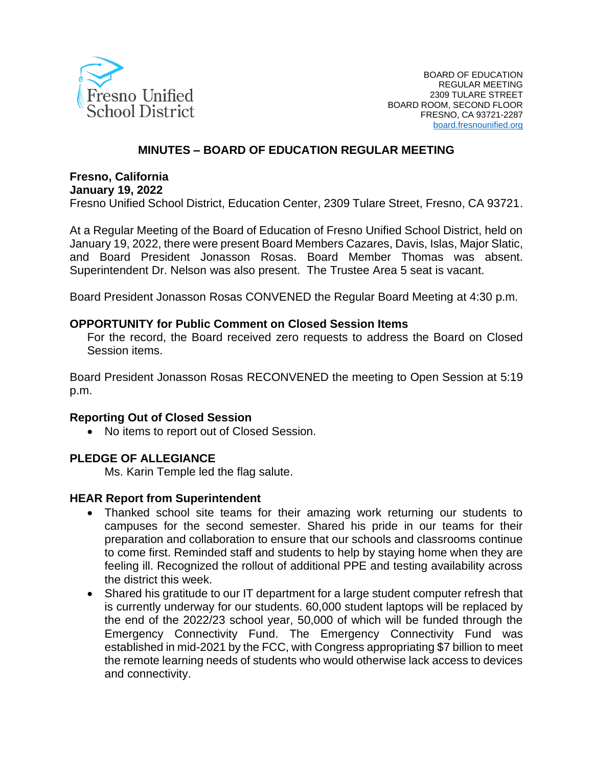

#### **MINUTES – BOARD OF EDUCATION REGULAR MEETING**

# **Fresno, California**

**January 19, 2022**

Fresno Unified School District, Education Center, 2309 Tulare Street, Fresno, CA 93721.

At a Regular Meeting of the Board of Education of Fresno Unified School District, held on January 19, 2022, there were present Board Members Cazares, Davis, Islas, Major Slatic, and Board President Jonasson Rosas. Board Member Thomas was absent. Superintendent Dr. Nelson was also present. The Trustee Area 5 seat is vacant.

Board President Jonasson Rosas CONVENED the Regular Board Meeting at 4:30 p.m.

#### **OPPORTUNITY for Public Comment on Closed Session Items**

For the record, the Board received zero requests to address the Board on Closed Session items.

Board President Jonasson Rosas RECONVENED the meeting to Open Session at 5:19 p.m.

#### **Reporting Out of Closed Session**

• No items to report out of Closed Session.

#### **PLEDGE OF ALLEGIANCE**

Ms. Karin Temple led the flag salute.

#### **HEAR Report from Superintendent**

- Thanked school site teams for their amazing work returning our students to campuses for the second semester. Shared his pride in our teams for their preparation and collaboration to ensure that our schools and classrooms continue to come first. Reminded staff and students to help by staying home when they are feeling ill. Recognized the rollout of additional PPE and testing availability across the district this week.
- Shared his gratitude to our IT department for a large student computer refresh that is currently underway for our students. 60,000 student laptops will be replaced by the end of the 2022/23 school year, 50,000 of which will be funded through the Emergency Connectivity Fund. The Emergency Connectivity Fund was established in mid-2021 by the FCC, with Congress appropriating \$7 billion to meet the remote learning needs of students who would otherwise lack access to devices and connectivity.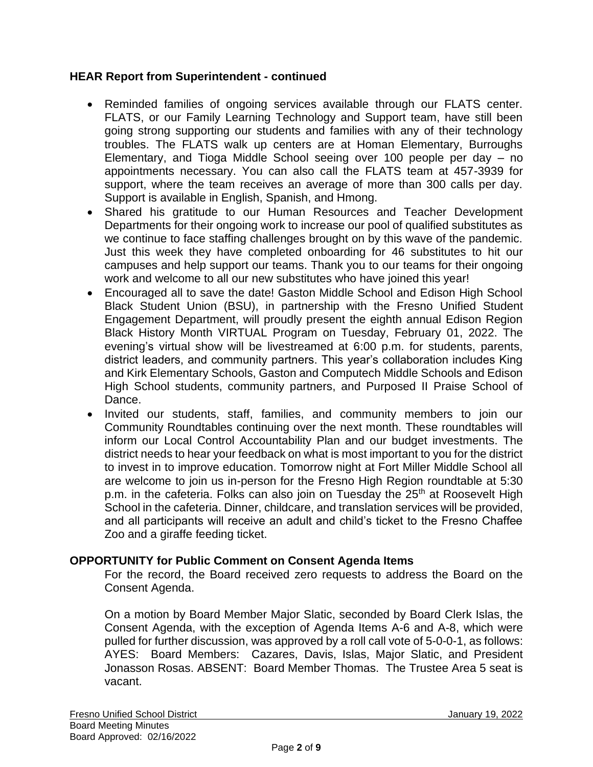## **HEAR Report from Superintendent - continued**

- Reminded families of ongoing services available through our FLATS center. FLATS, or our Family Learning Technology and Support team, have still been going strong supporting our students and families with any of their technology troubles. The FLATS walk up centers are at Homan Elementary, Burroughs Elementary, and Tioga Middle School seeing over 100 people per day – no appointments necessary. You can also call the FLATS team at 457-3939 for support, where the team receives an average of more than 300 calls per day. Support is available in English, Spanish, and Hmong.
- Shared his gratitude to our Human Resources and Teacher Development Departments for their ongoing work to increase our pool of qualified substitutes as we continue to face staffing challenges brought on by this wave of the pandemic. Just this week they have completed onboarding for 46 substitutes to hit our campuses and help support our teams. Thank you to our teams for their ongoing work and welcome to all our new substitutes who have joined this year!
- Encouraged all to save the date! Gaston Middle School and Edison High School Black Student Union (BSU), in partnership with the Fresno Unified Student Engagement Department, will proudly present the eighth annual Edison Region Black History Month VIRTUAL Program on Tuesday, February 01, 2022. The evening's virtual show will be livestreamed at 6:00 p.m. for students, parents, district leaders, and community partners. This year's collaboration includes King and Kirk Elementary Schools, Gaston and Computech Middle Schools and Edison High School students, community partners, and Purposed II Praise School of Dance.
- Invited our students, staff, families, and community members to join our Community Roundtables continuing over the next month. These roundtables will inform our Local Control Accountability Plan and our budget investments. The district needs to hear your feedback on what is most important to you for the district to invest in to improve education. Tomorrow night at Fort Miller Middle School all are welcome to join us in-person for the Fresno High Region roundtable at 5:30 p.m. in the cafeteria. Folks can also join on Tuesday the 25<sup>th</sup> at Roosevelt High School in the cafeteria. Dinner, childcare, and translation services will be provided, and all participants will receive an adult and child's ticket to the Fresno Chaffee Zoo and a giraffe feeding ticket.

## **OPPORTUNITY for Public Comment on Consent Agenda Items**

For the record, the Board received zero requests to address the Board on the Consent Agenda.

On a motion by Board Member Major Slatic, seconded by Board Clerk Islas, the Consent Agenda, with the exception of Agenda Items A-6 and A-8, which were pulled for further discussion, was approved by a roll call vote of 5-0-0-1, as follows: AYES: Board Members: Cazares, Davis, Islas, Major Slatic, and President Jonasson Rosas. ABSENT: Board Member Thomas. The Trustee Area 5 seat is vacant.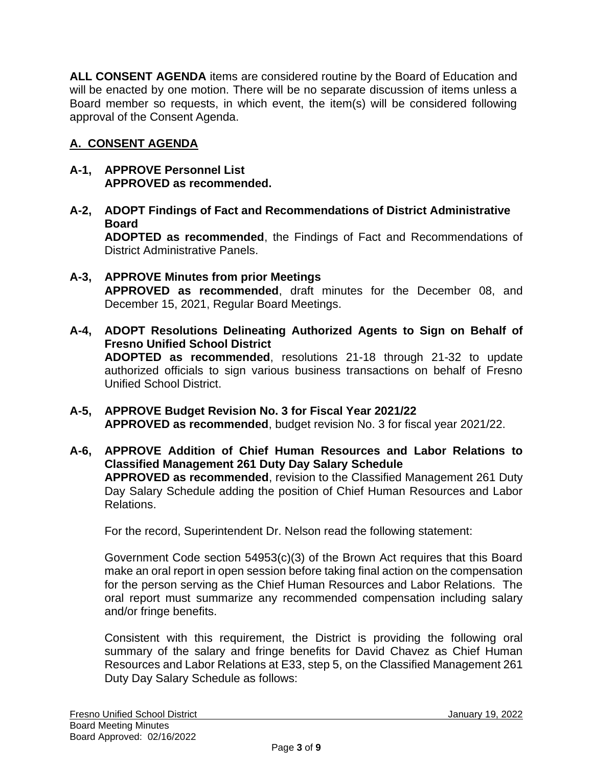**ALL CONSENT AGENDA** items are considered routine by the Board of Education and will be enacted by one motion. There will be no separate discussion of items unless a Board member so requests, in which event, the item(s) will be considered following approval of the Consent Agenda.

# **A. CONSENT AGENDA**

- **A-1, APPROVE Personnel List APPROVED as recommended.**
- **A-2, ADOPT Findings of Fact and Recommendations of District Administrative Board**

**ADOPTED as recommended**, the Findings of Fact and Recommendations of District Administrative Panels.

- **A-3, APPROVE Minutes from prior Meetings APPROVED as recommended**, draft minutes for the December 08, and December 15, 2021, Regular Board Meetings.
- **A-4, ADOPT Resolutions Delineating Authorized Agents to Sign on Behalf of Fresno Unified School District ADOPTED as recommended**, resolutions 21-18 through 21-32 to update authorized officials to sign various business transactions on behalf of Fresno Unified School District.
- **A-5, APPROVE Budget Revision No. 3 for Fiscal Year 2021/22 APPROVED as recommended**, budget revision No. 3 for fiscal year 2021/22.
- **A-6, APPROVE Addition of Chief Human Resources and Labor Relations to Classified Management 261 Duty Day Salary Schedule APPROVED as recommended**, revision to the Classified Management 261 Duty Day Salary Schedule adding the position of Chief Human Resources and Labor Relations.

For the record, Superintendent Dr. Nelson read the following statement:

Government Code section 54953(c)(3) of the Brown Act requires that this Board make an oral report in open session before taking final action on the compensation for the person serving as the Chief Human Resources and Labor Relations. The oral report must summarize any recommended compensation including salary and/or fringe benefits.

Consistent with this requirement, the District is providing the following oral summary of the salary and fringe benefits for David Chavez as Chief Human Resources and Labor Relations at E33, step 5, on the Classified Management 261 Duty Day Salary Schedule as follows: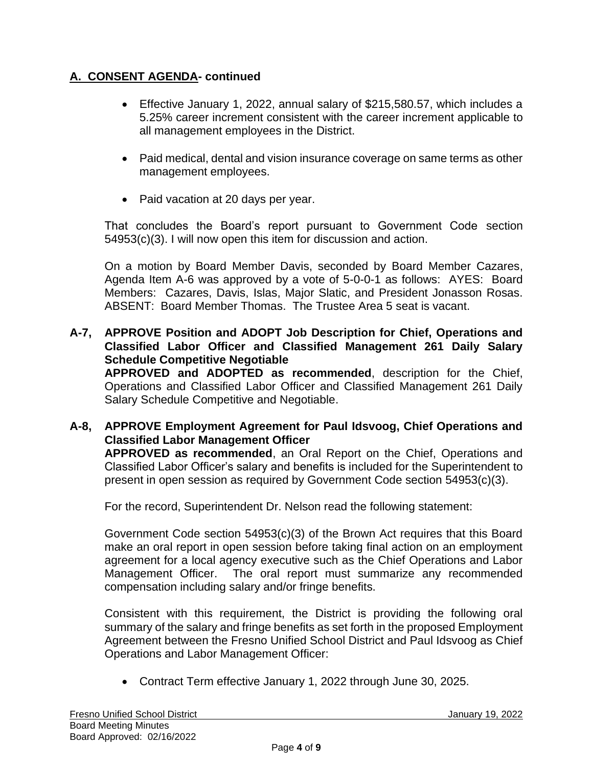# **A. CONSENT AGENDA- continued**

- Effective January 1, 2022, annual salary of \$215,580.57, which includes a 5.25% career increment consistent with the career increment applicable to all management employees in the District.
- Paid medical, dental and vision insurance coverage on same terms as other management employees.
- Paid vacation at 20 days per year.

That concludes the Board's report pursuant to Government Code section 54953(c)(3). I will now open this item for discussion and action.

On a motion by Board Member Davis, seconded by Board Member Cazares, Agenda Item A-6 was approved by a vote of 5-0-0-1 as follows: AYES: Board Members: Cazares, Davis, Islas, Major Slatic, and President Jonasson Rosas. ABSENT: Board Member Thomas. The Trustee Area 5 seat is vacant.

**A-7, APPROVE Position and ADOPT Job Description for Chief, Operations and Classified Labor Officer and Classified Management 261 Daily Salary Schedule Competitive Negotiable**

**APPROVED and ADOPTED as recommended**, description for the Chief, Operations and Classified Labor Officer and Classified Management 261 Daily Salary Schedule Competitive and Negotiable.

## **A-8, APPROVE Employment Agreement for Paul Idsvoog, Chief Operations and Classified Labor Management Officer**

**APPROVED as recommended**, an Oral Report on the Chief, Operations and Classified Labor Officer's salary and benefits is included for the Superintendent to present in open session as required by Government Code section 54953(c)(3).

For the record, Superintendent Dr. Nelson read the following statement:

Government Code section 54953(c)(3) of the Brown Act requires that this Board make an oral report in open session before taking final action on an employment agreement for a local agency executive such as the Chief Operations and Labor Management Officer. The oral report must summarize any recommended compensation including salary and/or fringe benefits.

Consistent with this requirement, the District is providing the following oral summary of the salary and fringe benefits as set forth in the proposed Employment Agreement between the Fresno Unified School District and Paul Idsvoog as Chief Operations and Labor Management Officer:

• Contract Term effective January 1, 2022 through June 30, 2025.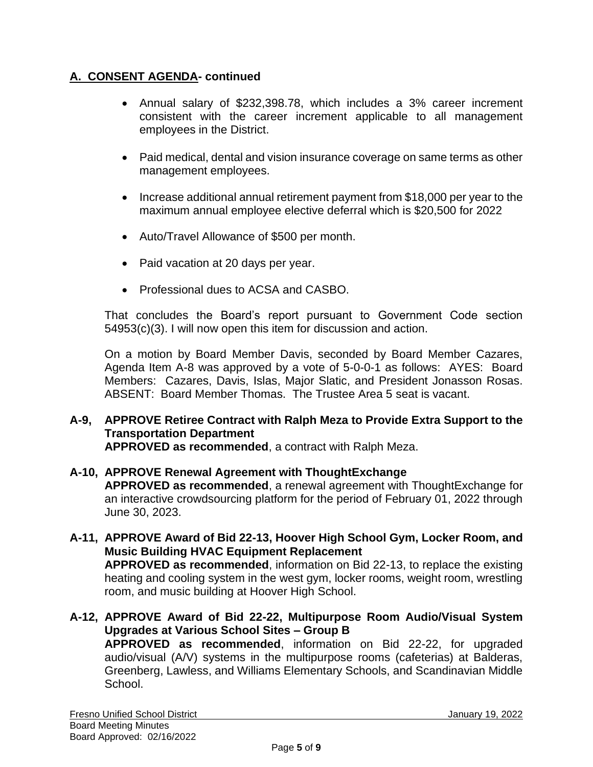## **A. CONSENT AGENDA- continued**

- Annual salary of \$232,398.78, which includes a 3% career increment consistent with the career increment applicable to all management employees in the District.
- Paid medical, dental and vision insurance coverage on same terms as other management employees.
- Increase additional annual retirement payment from \$18,000 per year to the maximum annual employee elective deferral which is \$20,500 for 2022
- Auto/Travel Allowance of \$500 per month.
- Paid vacation at 20 days per year.
- Professional dues to ACSA and CASBO.

That concludes the Board's report pursuant to Government Code section 54953(c)(3). I will now open this item for discussion and action.

On a motion by Board Member Davis, seconded by Board Member Cazares, Agenda Item A-8 was approved by a vote of 5-0-0-1 as follows: AYES: Board Members: Cazares, Davis, Islas, Major Slatic, and President Jonasson Rosas. ABSENT: Board Member Thomas. The Trustee Area 5 seat is vacant.

# **A-9, APPROVE Retiree Contract with Ralph Meza to Provide Extra Support to the Transportation Department**

**APPROVED as recommended**, a contract with Ralph Meza.

#### **A-10, APPROVE Renewal Agreement with ThoughtExchange APPROVED as recommended**, a renewal agreement with ThoughtExchange for an interactive crowdsourcing platform for the period of February 01, 2022 through June 30, 2023.

**A-11, APPROVE Award of Bid 22-13, Hoover High School Gym, Locker Room, and Music Building HVAC Equipment Replacement APPROVED as recommended**, information on Bid 22-13, to replace the existing heating and cooling system in the west gym, locker rooms, weight room, wrestling room, and music building at Hoover High School.

**A-12, APPROVE Award of Bid 22-22, Multipurpose Room Audio/Visual System Upgrades at Various School Sites – Group B APPROVED as recommended**, information on Bid 22-22, for upgraded audio/visual (A/V) systems in the multipurpose rooms (cafeterias) at Balderas, Greenberg, Lawless, and Williams Elementary Schools, and Scandinavian Middle School.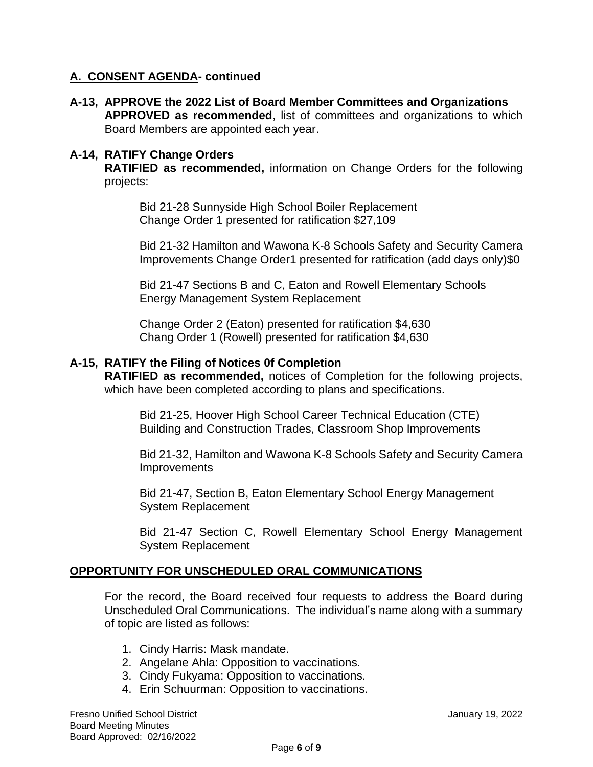## **A. CONSENT AGENDA- continued**

**A-13, APPROVE the 2022 List of Board Member Committees and Organizations APPROVED as recommended**, list of committees and organizations to which Board Members are appointed each year.

#### **A-14, RATIFY Change Orders**

**RATIFIED as recommended,** information on Change Orders for the following projects:

Bid 21-28 Sunnyside High School Boiler Replacement Change Order 1 presented for ratification \$27,109

Bid 21-32 Hamilton and Wawona K-8 Schools Safety and Security Camera Improvements Change Order1 presented for ratification (add days only)\$0

Bid 21-47 Sections B and C, Eaton and Rowell Elementary Schools Energy Management System Replacement

Change Order 2 (Eaton) presented for ratification \$4,630 Chang Order 1 (Rowell) presented for ratification \$4,630

#### **A-15, RATIFY the Filing of Notices 0f Completion**

**RATIFIED as recommended,** notices of Completion for the following projects, which have been completed according to plans and specifications.

Bid 21-25, Hoover High School Career Technical Education (CTE) Building and Construction Trades, Classroom Shop Improvements

Bid 21-32, Hamilton and Wawona K-8 Schools Safety and Security Camera Improvements

Bid 21-47, Section B, Eaton Elementary School Energy Management System Replacement

Bid 21-47 Section C, Rowell Elementary School Energy Management System Replacement

#### **OPPORTUNITY FOR UNSCHEDULED ORAL COMMUNICATIONS**

For the record, the Board received four requests to address the Board during Unscheduled Oral Communications. The individual's name along with a summary of topic are listed as follows:

- 1. Cindy Harris: Mask mandate.
- 2. Angelane Ahla: Opposition to vaccinations.
- 3. Cindy Fukyama: Opposition to vaccinations.
- 4. Erin Schuurman: Opposition to vaccinations.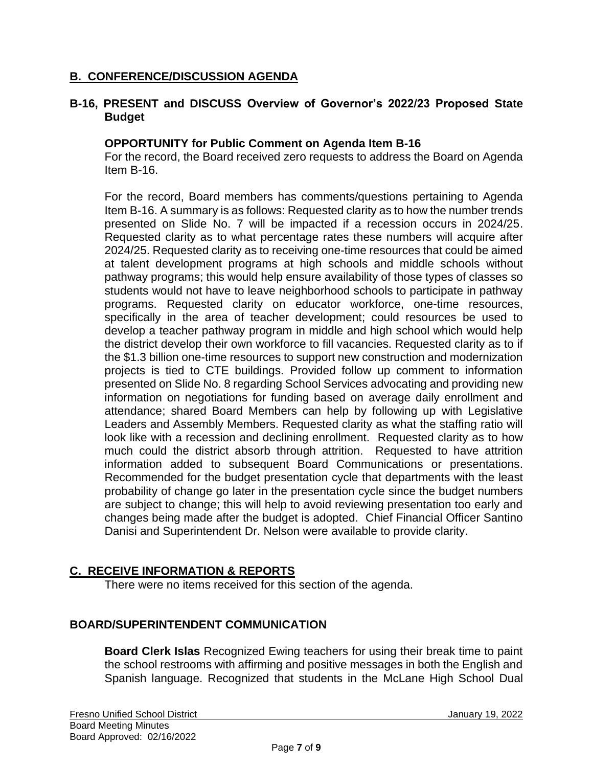## **B. CONFERENCE/DISCUSSION AGENDA**

## **B-16, PRESENT and DISCUSS Overview of Governor's 2022/23 Proposed State Budget**

#### **OPPORTUNITY for Public Comment on Agenda Item B-16**

For the record, the Board received zero requests to address the Board on Agenda Item B-16.

For the record, Board members has comments/questions pertaining to Agenda Item B-16. A summary is as follows: Requested clarity as to how the number trends presented on Slide No. 7 will be impacted if a recession occurs in 2024/25. Requested clarity as to what percentage rates these numbers will acquire after 2024/25. Requested clarity as to receiving one-time resources that could be aimed at talent development programs at high schools and middle schools without pathway programs; this would help ensure availability of those types of classes so students would not have to leave neighborhood schools to participate in pathway programs. Requested clarity on educator workforce, one-time resources, specifically in the area of teacher development; could resources be used to develop a teacher pathway program in middle and high school which would help the district develop their own workforce to fill vacancies. Requested clarity as to if the \$1.3 billion one-time resources to support new construction and modernization projects is tied to CTE buildings. Provided follow up comment to information presented on Slide No. 8 regarding School Services advocating and providing new information on negotiations for funding based on average daily enrollment and attendance; shared Board Members can help by following up with Legislative Leaders and Assembly Members. Requested clarity as what the staffing ratio will look like with a recession and declining enrollment. Requested clarity as to how much could the district absorb through attrition. Requested to have attrition information added to subsequent Board Communications or presentations. Recommended for the budget presentation cycle that departments with the least probability of change go later in the presentation cycle since the budget numbers are subject to change; this will help to avoid reviewing presentation too early and changes being made after the budget is adopted. Chief Financial Officer Santino Danisi and Superintendent Dr. Nelson were available to provide clarity.

## **C. RECEIVE INFORMATION & REPORTS**

There were no items received for this section of the agenda.

## **BOARD/SUPERINTENDENT COMMUNICATION**

**Board Clerk Islas** Recognized Ewing teachers for using their break time to paint the school restrooms with affirming and positive messages in both the English and Spanish language. Recognized that students in the McLane High School Dual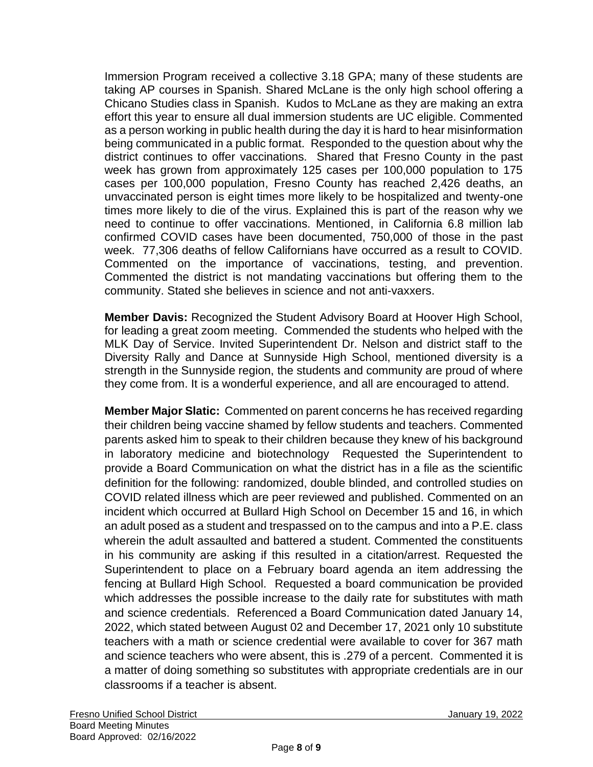Immersion Program received a collective 3.18 GPA; many of these students are taking AP courses in Spanish. Shared McLane is the only high school offering a Chicano Studies class in Spanish. Kudos to McLane as they are making an extra effort this year to ensure all dual immersion students are UC eligible. Commented as a person working in public health during the day it is hard to hear misinformation being communicated in a public format. Responded to the question about why the district continues to offer vaccinations. Shared that Fresno County in the past week has grown from approximately 125 cases per 100,000 population to 175 cases per 100,000 population, Fresno County has reached 2,426 deaths, an unvaccinated person is eight times more likely to be hospitalized and twenty-one times more likely to die of the virus. Explained this is part of the reason why we need to continue to offer vaccinations. Mentioned, in California 6.8 million lab confirmed COVID cases have been documented, 750,000 of those in the past week. 77,306 deaths of fellow Californians have occurred as a result to COVID. Commented on the importance of vaccinations, testing, and prevention. Commented the district is not mandating vaccinations but offering them to the community. Stated she believes in science and not anti-vaxxers.

**Member Davis:** Recognized the Student Advisory Board at Hoover High School, for leading a great zoom meeting. Commended the students who helped with the MLK Day of Service. Invited Superintendent Dr. Nelson and district staff to the Diversity Rally and Dance at Sunnyside High School, mentioned diversity is a strength in the Sunnyside region, the students and community are proud of where they come from. It is a wonderful experience, and all are encouraged to attend.

**Member Major Slatic:** Commented on parent concerns he has received regarding their children being vaccine shamed by fellow students and teachers. Commented parents asked him to speak to their children because they knew of his background in laboratory medicine and biotechnology Requested the Superintendent to provide a Board Communication on what the district has in a file as the scientific definition for the following: randomized, double blinded, and controlled studies on COVID related illness which are peer reviewed and published. Commented on an incident which occurred at Bullard High School on December 15 and 16, in which an adult posed as a student and trespassed on to the campus and into a P.E. class wherein the adult assaulted and battered a student. Commented the constituents in his community are asking if this resulted in a citation/arrest. Requested the Superintendent to place on a February board agenda an item addressing the fencing at Bullard High School. Requested a board communication be provided which addresses the possible increase to the daily rate for substitutes with math and science credentials. Referenced a Board Communication dated January 14, 2022, which stated between August 02 and December 17, 2021 only 10 substitute teachers with a math or science credential were available to cover for 367 math and science teachers who were absent, this is .279 of a percent. Commented it is a matter of doing something so substitutes with appropriate credentials are in our classrooms if a teacher is absent.